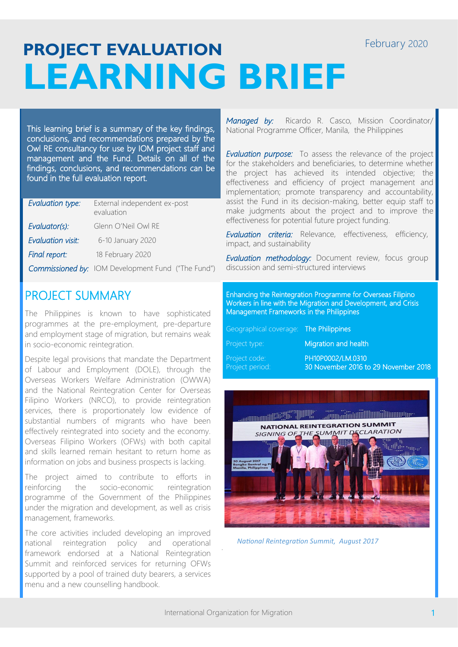# **PROJECT EVALUATION LEARNING BRIEF**

This learning brief is a summary of the key findings, conclusions, and recommendations prepared by the Owl RE consultancy for use by IOM project staff and management and the Fund. Details on all of the findings, conclusions, and recommendations can be found in the full evaluation report.

| Evaluation type:         | External independent ex-post<br>evaluation                |
|--------------------------|-----------------------------------------------------------|
| Evaluator(s):            | Glenn O'Neil Owl RE                                       |
| <b>Evaluation visit:</b> | 6-10 January 2020                                         |
| Final report:            | 18 February 2020                                          |
|                          | <b>Commissioned by:</b> IOM Development Fund ("The Fund") |

## PROJECT SUMMARY

The Philippines is known to have sophisticated programmes at the pre-employment, pre-departure and employment stage of migration, but remains weak in socio-economic reintegration.

Despite legal provisions that mandate the Department of Labour and Employment (DOLE), through the Overseas Workers Welfare Administration (OWWA) and the National Reintegration Center for Overseas Filipino Workers (NRCO), to provide reintegration services, there is proportionately low evidence of substantial numbers of migrants who have been effectively reintegrated into society and the economy. Overseas Filipino Workers (OFWs) with both capital and skills learned remain hesitant to return home as information on jobs and business prospects is lacking.

The project aimed to contribute to efforts in reinforcing the socio-economic reintegration programme of the Government of the Philippines under the migration and development, as well as crisis management, frameworks.

The core activities included developing an improved national reintegration policy and operational framework endorsed at a National Reintegration Summit and reinforced services for returning OFWs supported by a pool of trained duty bearers, a services menu and a new counselling handbook.

*Managed by:* Ricardo R. Casco, Mission Coordinator/ National Programme Officer, Manila, the Philippines

*Evaluation purpose:* To assess the relevance of the project for the stakeholders and beneficiaries, to determine whether the project has achieved its intended objective; the effectiveness and efficiency of project management and implementation; promote transparency and accountability, assist the Fund in its decision-making, better equip staff to make judgments about the project and to improve the effectiveness for potential future project funding.

*Evaluation criteria:* Relevance, effectiveness, efficiency, impact, and sustainability

*Evaluation methodology: Document review, focus group* discussion and semi-structured interviews

Enhancing the Reintegration Programme for Overseas Filipino Workers in line with the Migration and Development, and Crisis Management Frameworks in the Philippines

| Geographical coverage: The Philippines |                                                           |
|----------------------------------------|-----------------------------------------------------------|
| Project type:                          | Migration and health                                      |
| Project code:<br>Project period:       | PH10P0002/LM.0310<br>30 November 2016 to 29 November 2018 |

<u> Albanya Manazarta </u> NATIONAL REINTEGRATION SUMMIT SIGNING OF THE SUMMIT DECLARATION

*National Reintegration Summit, August 2017*

.